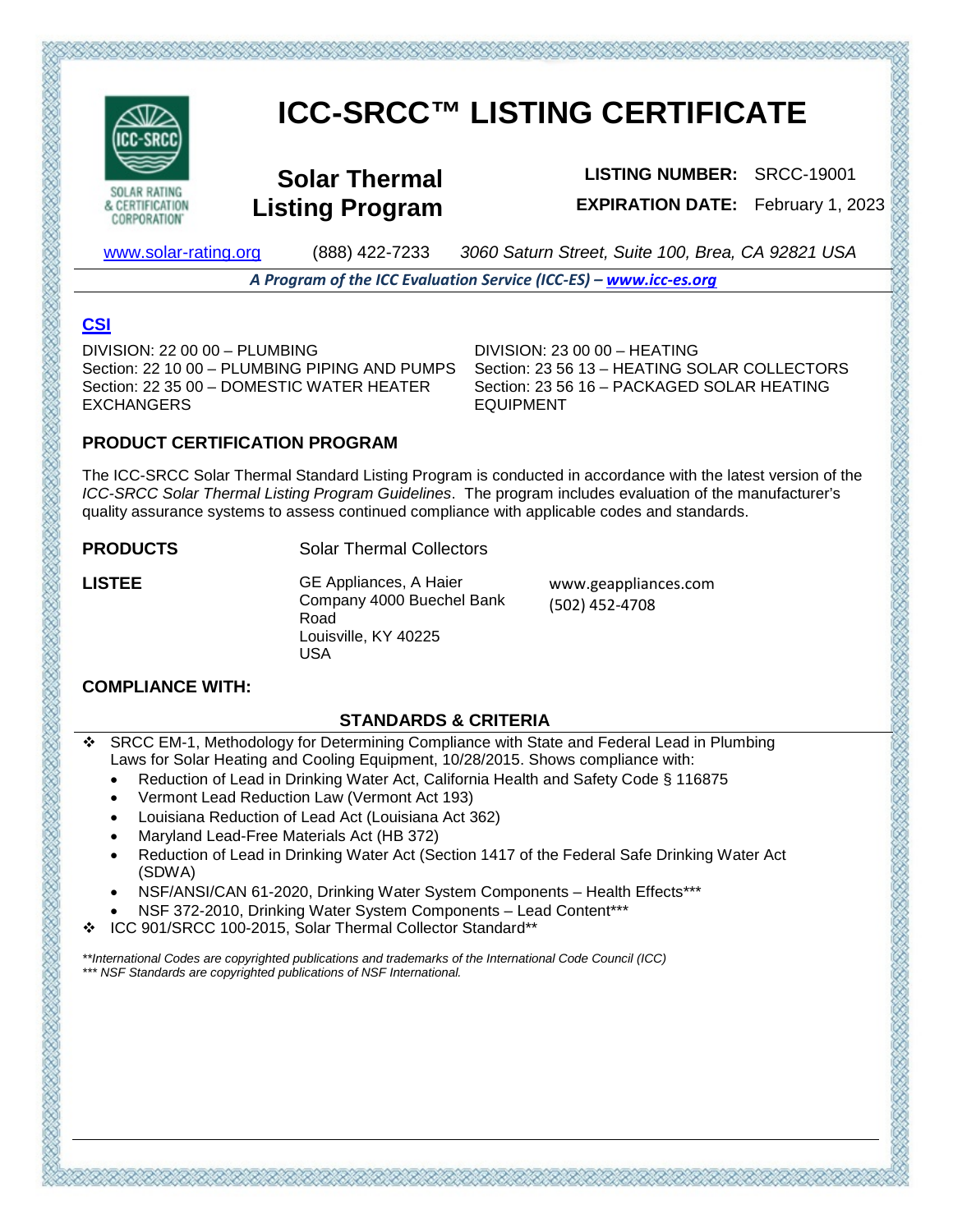

**CORPORATION** 

# **ICC-SRCC™ LISTING CERTIFICATE**

**Solar Thermal Listing Program**

**LISTING NUMBER:** SRCC-19001 **EXPIRATION DATE:** February 1, 2023

[www.solar-rating.org](http://www.solar-rating.org/) (888) 422-7233 *3060 Saturn Street, Suite 100, Brea, CA 92821 USA*

*A Program of the ICC Evaluation Service (ICC-ES) – [www.icc-es.org](http://www.icc-es.org/)*

## **[CSI](https://www.arcat.com/)**

DIVISION: 22 00 00 – PLUMBING Section: 22 10 00 – PLUMBING PIPING AND PUMPS Section: 22 35 00 – DOMESTIC WATER HEATER EXCHANGERS

DIVISION: 23 00 00 – HEATING Section: 23 56 13 – HEATING SOLAR COLLECTORS Section: 23 56 16 – PACKAGED SOLAR HEATING EQUIPMENT

#### **PRODUCT CERTIFICATION PROGRAM**

The ICC-SRCC Solar Thermal Standard Listing Program is conducted in accordance with the latest version of the *ICC-SRCC Solar Thermal Listing Program Guidelines*. The program includes evaluation of the manufacturer's quality assurance systems to assess continued compliance with applicable codes and standards.

**PRODUCTS** Solar Thermal Collectors

**LISTEE** GE Appliances, A Haier Company 4000 Buechel Bank Road Louisville, KY 40225 USA

www.geappliances.com (502) 452-4708

#### **COMPLIANCE WITH:**

#### **STANDARDS & CRITERIA**

- SRCC EM-1, Methodology for Determining Compliance with State and Federal Lead in Plumbing Laws for Solar Heating and Cooling Equipment, 10/28/2015. Shows compliance with:
	- Reduction of Lead in Drinking Water Act, California Health and Safety Code § 116875
	- Vermont Lead Reduction Law (Vermont Act 193)
	- Louisiana Reduction of Lead Act (Louisiana Act 362)
	- Maryland Lead-Free Materials Act (HB 372)
	- Reduction of Lead in Drinking Water Act (Section 1417 of the Federal Safe Drinking Water Act (SDWA)
	- NSF/ANSI/CAN 61-2020, Drinking Water System Components Health Effects\*\*\*
	- NSF 372-2010, Drinking Water System Components Lead Content\*\*\*
- ICC 901/SRCC 100-2015, Solar Thermal Collector Standard\*\*

こうだいだい アジズ・アジス アジス・アジス・アジス

*\*\*International Codes are copyrighted publications and trademarks of the International Code Council (ICC) \*\*\* NSF Standards are copyrighted publications of NSF International.*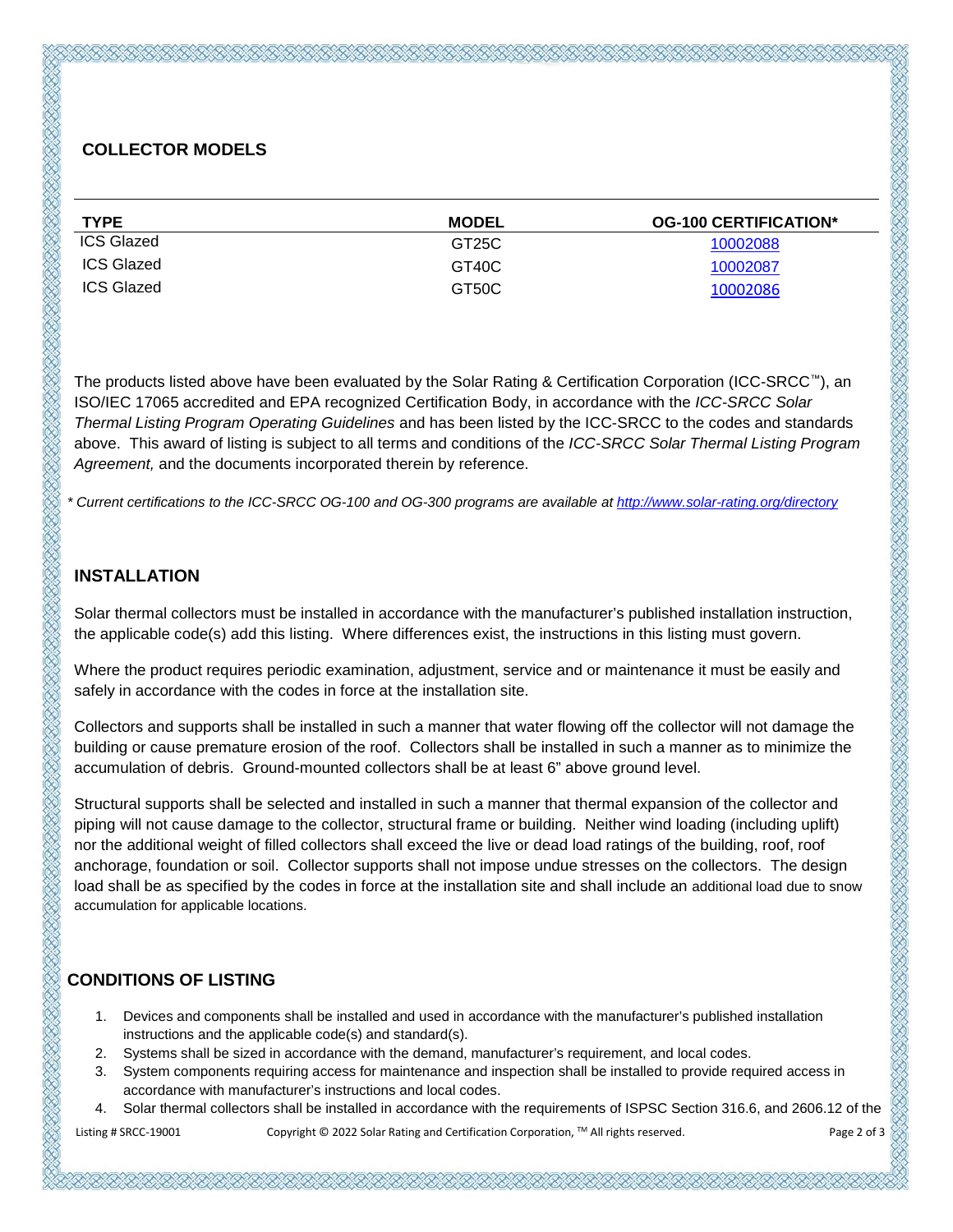### **COLLECTOR MODELS**

| <b>TYPE</b>       | <b>MODEL</b>       | <b>OG-100 CERTIFICATION*</b> |
|-------------------|--------------------|------------------------------|
| <b>ICS Glazed</b> | GT <sub>25</sub> C | 10002088                     |
| ICS Glazed        | GT40C              | 10002087                     |
| ICS Glazed        | GT50C              | 10002086                     |

The products listed above have been evaluated by the Solar Rating & Certification Corporation (ICC-SRCC™), an ISO/IEC 17065 accredited and EPA recognized Certification Body, in accordance with the *ICC-SRCC Solar Thermal Listing Program Operating Guidelines* and has been listed by the ICC-SRCC to the codes and standards above. This award of listing is subject to all terms and conditions of the *ICC-SRCC Solar Thermal Listing Program Agreement,* and the documents incorporated therein by reference.

*\* Current certifications to the ICC-SRCC OG-100 and OG-300 programs are available a[t http://www.solar-rating.org/directory](http://www.solar-rating.org/directory)*

#### **INSTALLATION**

Solar thermal collectors must be installed in accordance with the manufacturer's published installation instruction, the applicable code(s) add this listing. Where differences exist, the instructions in this listing must govern.

Where the product requires periodic examination, adjustment, service and or maintenance it must be easily and safely in accordance with the codes in force at the installation site.

Collectors and supports shall be installed in such a manner that water flowing off the collector will not damage the building or cause premature erosion of the roof. Collectors shall be installed in such a manner as to minimize the accumulation of debris. Ground-mounted collectors shall be at least 6" above ground level.

Structural supports shall be selected and installed in such a manner that thermal expansion of the collector and piping will not cause damage to the collector, structural frame or building. Neither wind loading (including uplift) nor the additional weight of filled collectors shall exceed the live or dead load ratings of the building, roof, roof anchorage, foundation or soil. Collector supports shall not impose undue stresses on the collectors. The design load shall be as specified by the codes in force at the installation site and shall include an additional load due to snow accumulation for applicable locations.

#### **CONDITIONS OF LISTING**

- 1. Devices and components shall be installed and used in accordance with the manufacturer's published installation instructions and the applicable code(s) and standard(s).
- 2. Systems shall be sized in accordance with the demand, manufacturer's requirement, and local codes.
- 3. System components requiring access for maintenance and inspection shall be installed to provide required access in accordance with manufacturer's instructions and local codes.
- 4. Solar thermal collectors shall be installed in accordance with the requirements of ISPSC Section 316.6, and 2606.12 of the

Listing # SRCC-19001 Copyright © 2022 Solar Rating and Certification Corporation, ™ All rights reserved. Page 2 of 3